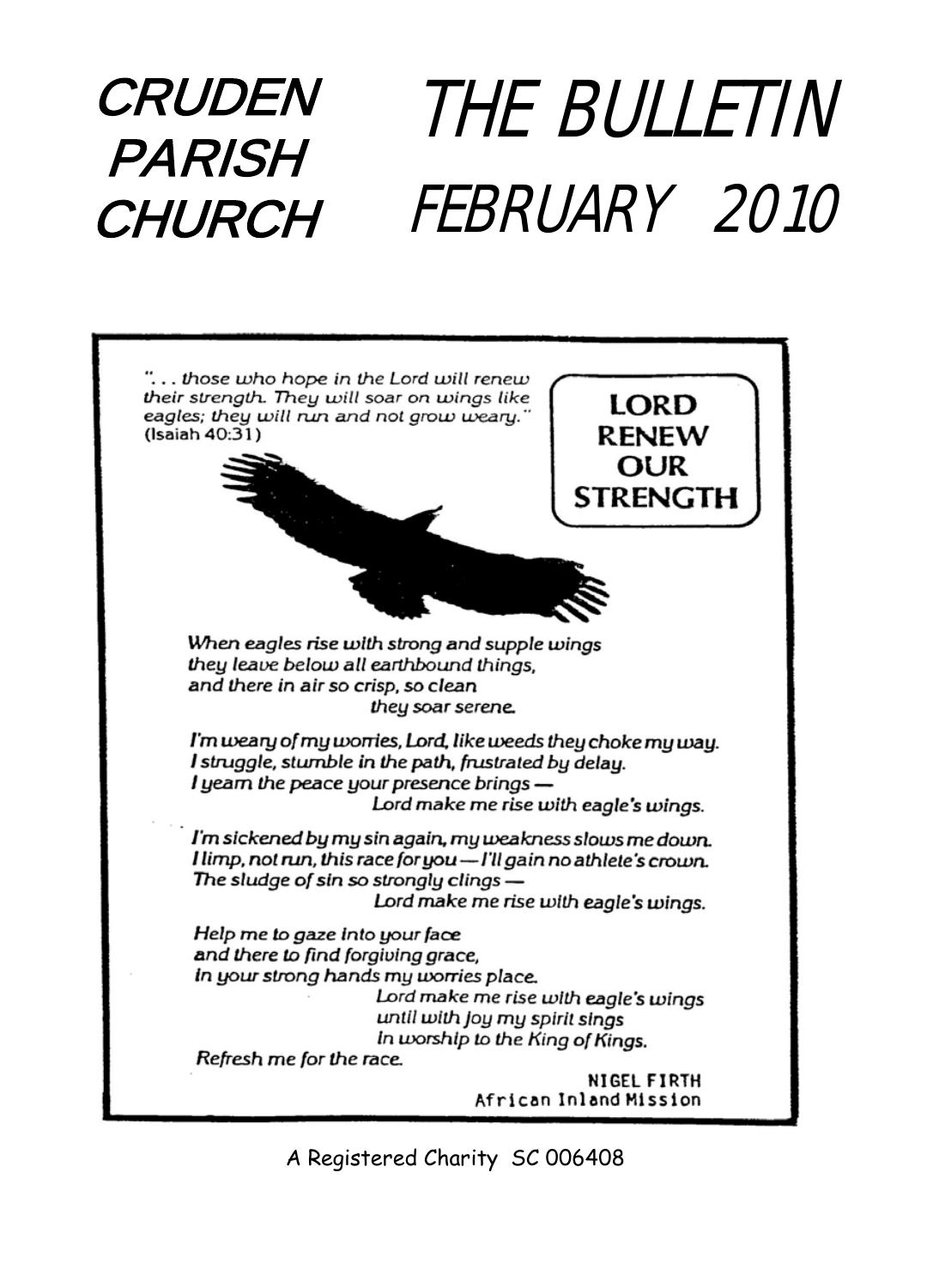### CRUDEN PARISH CHURCH THE BULLETIN FEBRUARY 2010



A Registered Charity SC 006408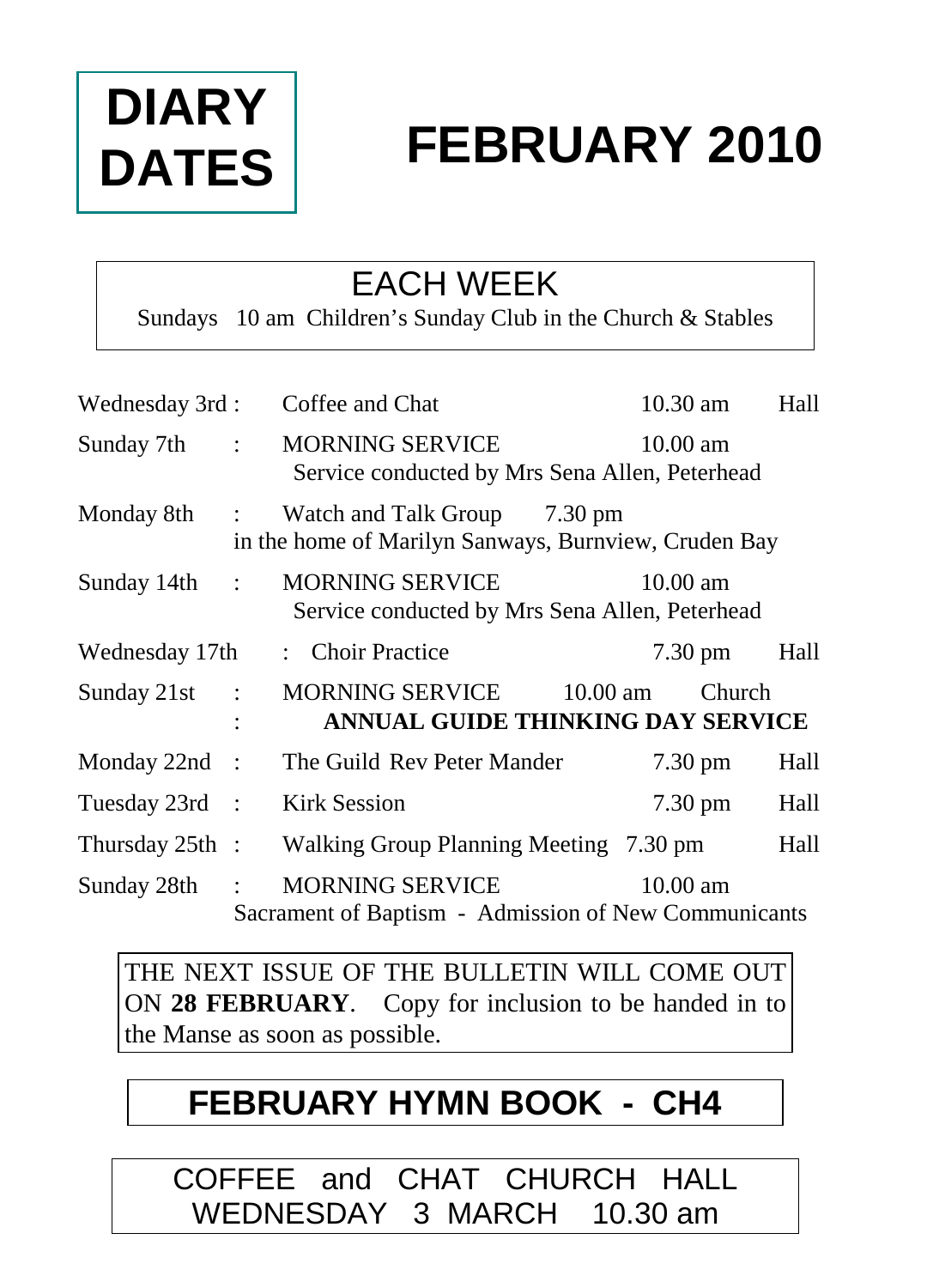# **DIARY DATES**

# **FEBRUARY 2010**

## EACH WEEK

Sundays 10 am Children's Sunday Club in the Church & Stables

| Wednesday 3rd:    |                      | Coffee and Chat                                                                      | 10.30 am           |        | Hall |
|-------------------|----------------------|--------------------------------------------------------------------------------------|--------------------|--------|------|
| Sunday 7th        | $\mathbb{R}^{n}$     | <b>MORNING SERVICE</b><br>Service conducted by Mrs Sena Allen, Peterhead             | $10.00$ am         |        |      |
| Monday 8th        | $\mathbb{R}^n$       | Watch and Talk Group 7.30 pm<br>in the home of Marilyn Sanways, Burnview, Cruden Bay |                    |        |      |
| Sunday 14th       | $\ddot{\phantom{a}}$ | <b>MORNING SERVICE</b><br>Service conducted by Mrs Sena Allen, Peterhead             | $10.00$ am         |        |      |
| Wednesday 17th    |                      | : Choir Practice                                                                     | $7.30 \text{ pm}$  |        | Hall |
| Sunday 21st       | $\ddot{\cdot}$       | <b>MORNING SERVICE</b><br>10.00 am<br>ANNUAL GUIDE THINKING DAY SERVICE              |                    | Church |      |
| Monday $22nd$ :   |                      | The Guild Rev Peter Mander                                                           | $7.30 \text{ pm}$  |        | Hall |
| Tuesday 23rd :    |                      | <b>Kirk Session</b>                                                                  | $7.30 \text{ pm}$  |        | Hall |
| Thursday $25th$ : |                      | Walking Group Planning Meeting 7.30 pm                                               |                    |        | Hall |
| Sunday 28th       |                      | <b>MORNING SERVICE</b><br>Sacrament of Baptism - Admission of New Communicants       | $10.00 \text{ am}$ |        |      |

THE NEXT ISSUE OF THE BULLETIN WILL COME OUT ON **28 FEBRUARY**. Copy for inclusion to be handed in to the Manse as soon as possible.

## **FEBRUARY HYMN BOOK - CH4**

COFFEE and CHAT CHURCH HALL WEDNESDAY 3 MARCH 10.30 am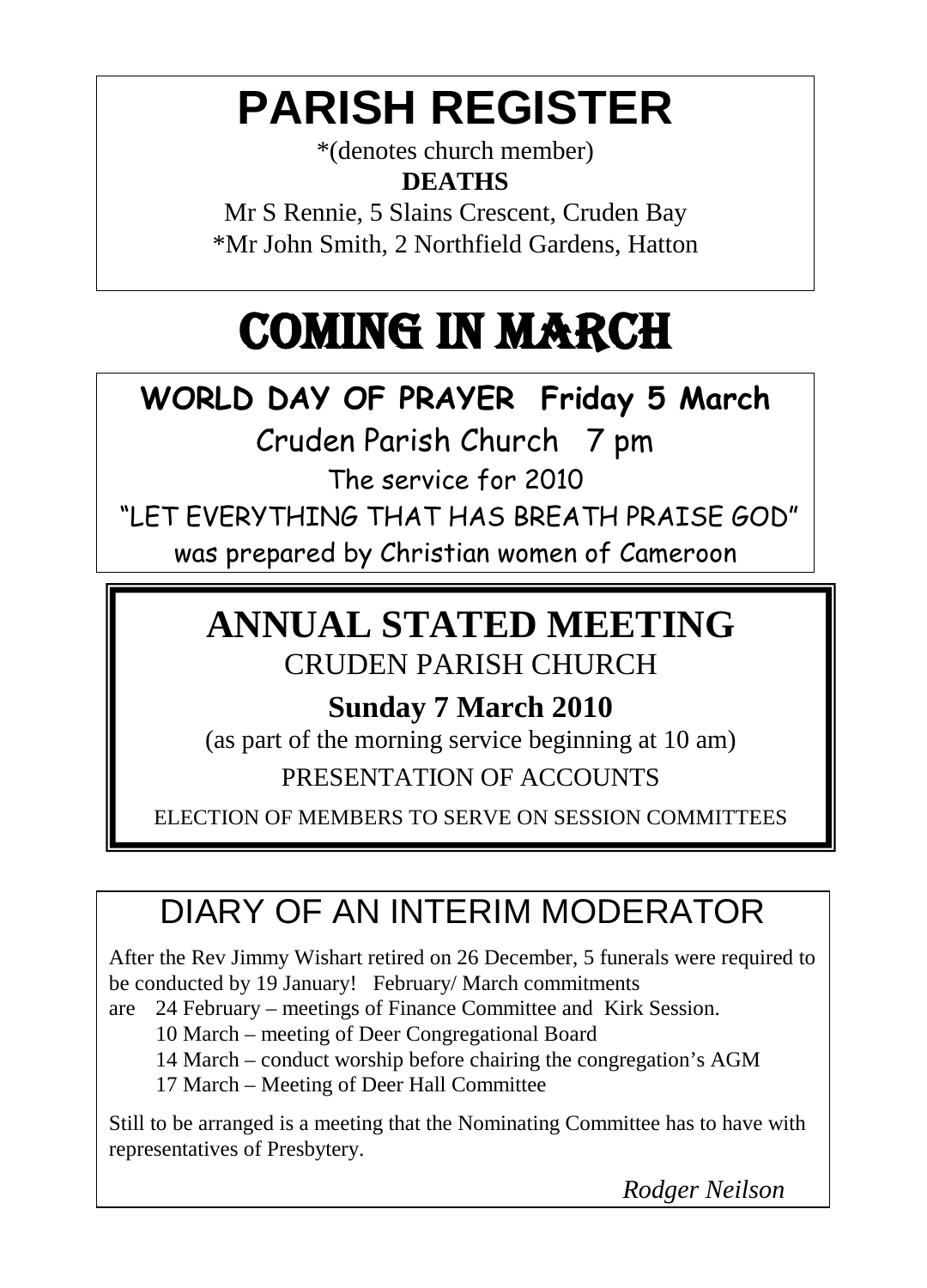# **PARISH REGISTER**

\*(denotes church member) **DEATHS**

Mr S Rennie, 5 Slains Crescent, Cruden Bay \*Mr John Smith, 2 Northfield Gardens, Hatton

# COMING IN MARCH

## **WORLD DAY OF PRAYER Friday 5 March**

Cruden Parish Church 7 pm

The service for 2010

"LET EVERYTHING THAT HAS BREATH PRAISE GOD"

was prepared by Christian women of Cameroon

### **ANNUAL STATED MEETING** CRUDEN PARISH CHURCH

### **Sunday 7 March 2010**

(as part of the morning service beginning at 10 am) PRESENTATION OF ACCOUNTS

ELECTION OF MEMBERS TO SERVE ON SESSION COMMITTEES

## DIARY OF AN INTERIM MODERATOR

After the Rev Jimmy Wishart retired on 26 December, 5 funerals were required to be conducted by 19 January! February/ March commitments

are 24 February – meetings of Finance Committee and Kirk Session.

10 March – meeting of Deer Congregational Board

14 March – conduct worship before chairing the congregation's AGM

17 March – Meeting of Deer Hall Committee

Still to be arranged is a meeting that the Nominating Committee has to have with representatives of Presbytery.

*Rodger Neilson*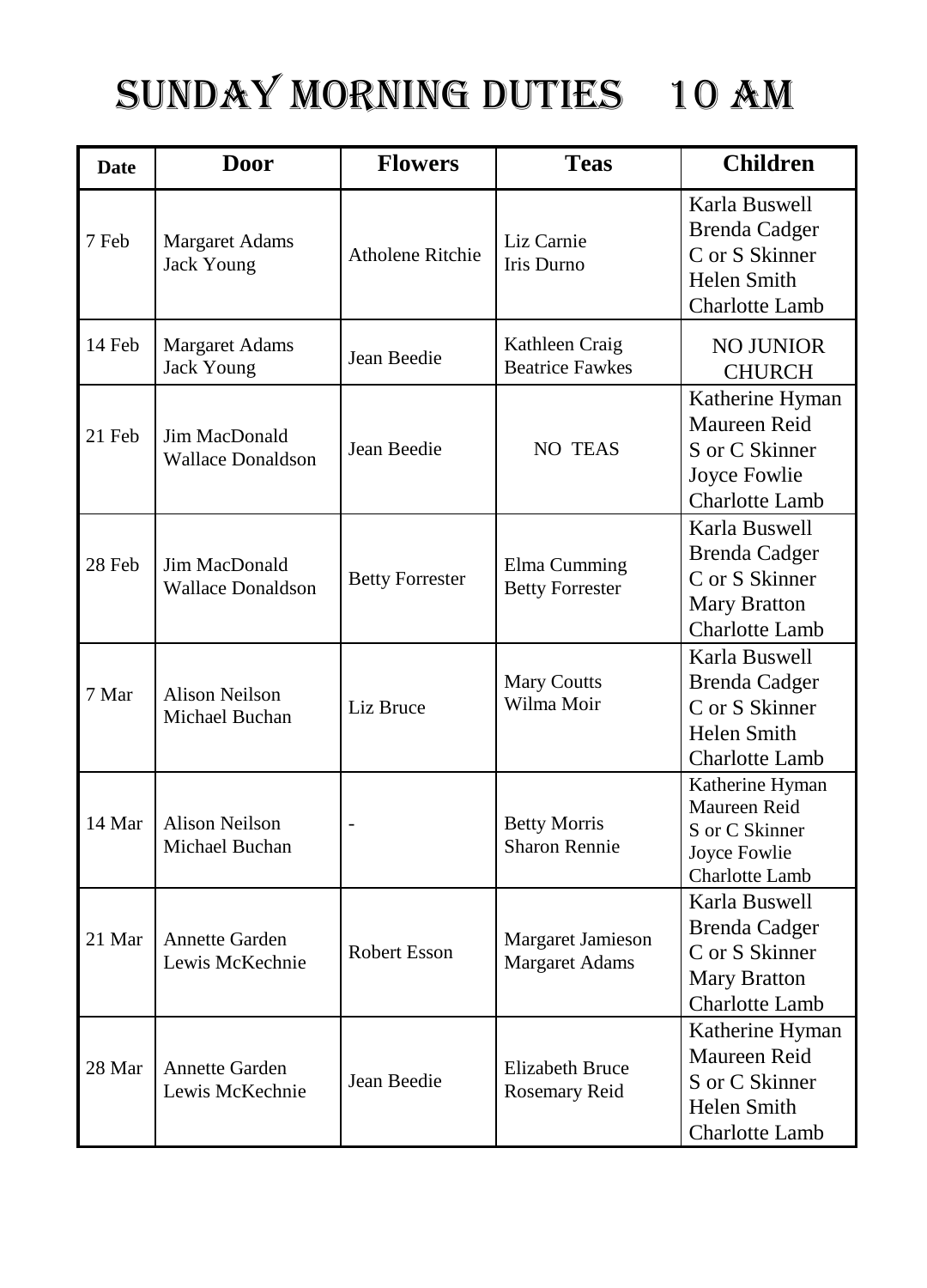# SUNDAY MORNING DUTIES 10 am

| <b>Date</b> | <b>Door</b>                                | <b>Flowers</b>          | <b>Teas</b>                                 | <b>Children</b>                                                                                  |
|-------------|--------------------------------------------|-------------------------|---------------------------------------------|--------------------------------------------------------------------------------------------------|
| 7 Feb       | <b>Margaret Adams</b><br><b>Jack Young</b> | <b>Atholene Ritchie</b> | Liz Carnie<br>Iris Durno                    | Karla Buswell<br><b>Brenda Cadger</b><br>C or S Skinner<br><b>Helen Smith</b><br>Charlotte Lamb  |
| 14 Feb      | Margaret Adams<br><b>Jack Young</b>        | Jean Beedie             | Kathleen Craig<br><b>Beatrice Fawkes</b>    | <b>NO JUNIOR</b><br><b>CHURCH</b>                                                                |
| 21 Feb      | Jim MacDonald<br><b>Wallace Donaldson</b>  | Jean Beedie             | NO TEAS                                     | Katherine Hyman<br>Maureen Reid<br>S or C Skinner<br>Joyce Fowlie<br>Charlotte Lamb              |
| 28 Feb      | Jim MacDonald<br>Wallace Donaldson         | <b>Betty Forrester</b>  | Elma Cumming<br><b>Betty Forrester</b>      | Karla Buswell<br><b>Brenda Cadger</b><br>C or S Skinner<br><b>Mary Bratton</b><br>Charlotte Lamb |
| 7 Mar       | Alison Neilson<br>Michael Buchan           | Liz Bruce               | <b>Mary Coutts</b><br>Wilma Moir            | Karla Buswell<br><b>Brenda</b> Cadger<br>C or S Skinner<br>Helen Smith<br>Charlotte Lamb         |
| 14 Mar      | <b>Alison Neilson</b><br>Michael Buchan    |                         | <b>Betty Morris</b><br><b>Sharon Rennie</b> | Katherine Hyman<br>Maureen Reid<br>S or C Skinner<br>Joyce Fowlie<br>Charlotte Lamb              |
| 21 Mar      | <b>Annette Garden</b><br>Lewis McKechnie   | Robert Esson            | Margaret Jamieson<br><b>Margaret Adams</b>  | Karla Buswell<br><b>Brenda Cadger</b><br>C or S Skinner<br><b>Mary Bratton</b><br>Charlotte Lamb |
| 28 Mar      | Annette Garden<br>Lewis McKechnie          | Jean Beedie             | <b>Elizabeth Bruce</b><br>Rosemary Reid     | Katherine Hyman<br>Maureen Reid<br>S or C Skinner<br>Helen Smith<br>Charlotte Lamb               |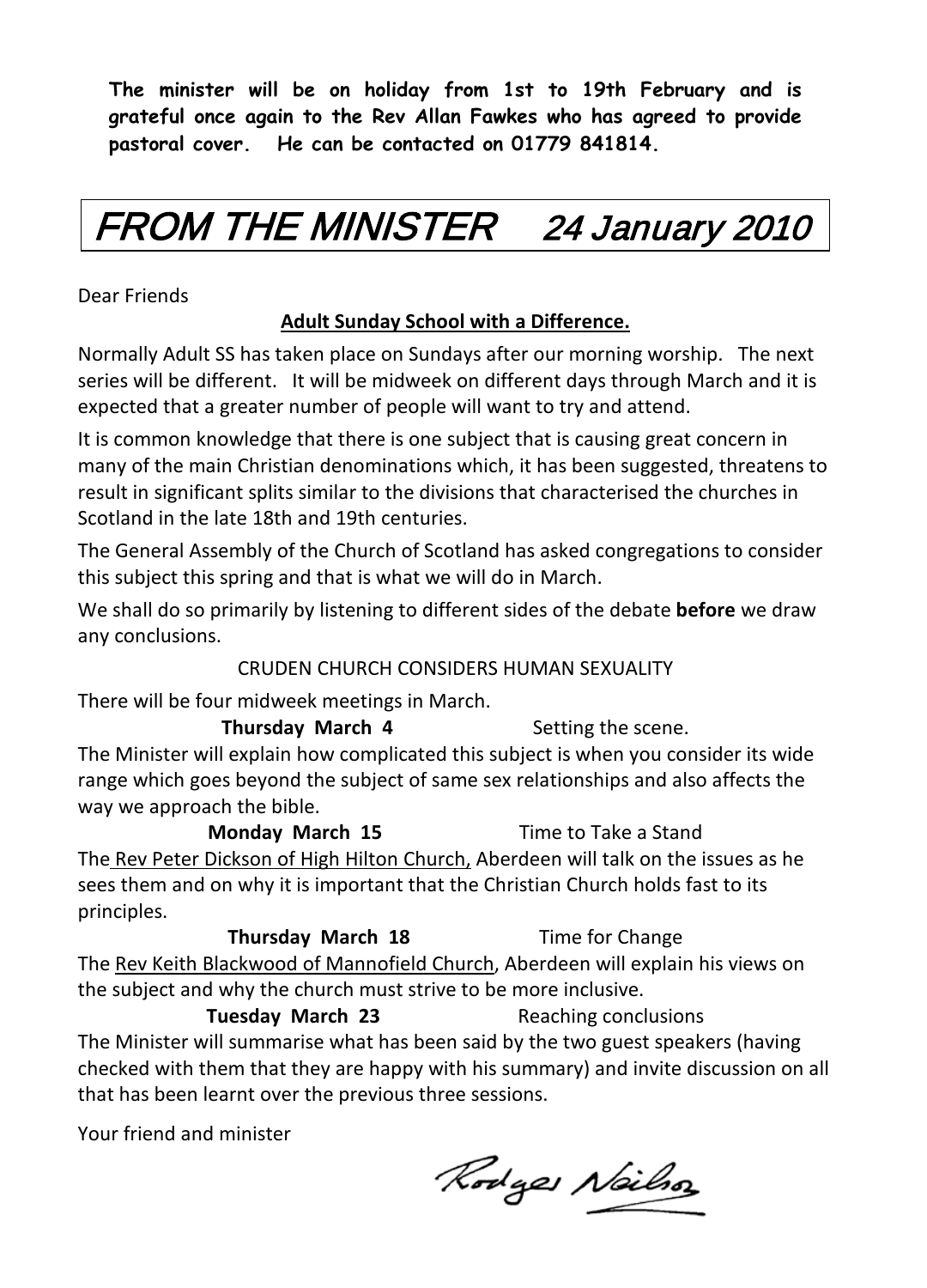**The minister will be on holiday from 1st to 19th February and is grateful once again to the Rev Allan Fawkes who has agreed to provide pastoral cover. He can be contacted on 01779 841814.**

# FROM THE MINISTER 24 January 2010

Dear Friends

#### **Adult Sunday School with a Difference.**

Normally Adult SS has taken place on Sundays after our morning worship. The next series will be different. It will be midweek on different days through March and it is expected that a greater number of people will want to try and attend.

It is common knowledge that there is one subject that is causing great concern in many of the main Christian denominations which, it has been suggested, threatens to result in significant splits similar to the divisions that characterised the churches in Scotland in the late 18th and 19th centuries.

The General Assembly of the Church of Scotland has asked congregations to consider this subject this spring and that is what we will do in March.

We shall do so primarily by listening to different sides of the debate **before** we draw any conclusions.

#### CRUDEN CHURCH CONSIDERS HUMAN SEXUALITY

There will be four midweek meetings in March.

#### **Thursday March 4** Setting the scene. The Minister will explain how complicated this subject is when you consider its wide range which goes beyond the subject of same sex relationships and also affects the way we approach the bible.

**Monday March 15** Time to Take a Stand The Rev Peter Dickson of High Hilton Church, Aberdeen will talk on the issues as he sees them and on why it is important that the Christian Church holds fast to its principles.

**Thursday March 18** Time for Change The Rev Keith Blackwood of Mannofield Church, Aberdeen will explain his views on the subject and why the church must strive to be more inclusive.

**Tuesday March 23** Reaching conclusions The Minister will summarise what has been said by the two guest speakers (having checked with them that they are happy with his summary) and invite discussion on all that has been learnt over the previous three sessions.

Your friend and minister

Rodges Nailso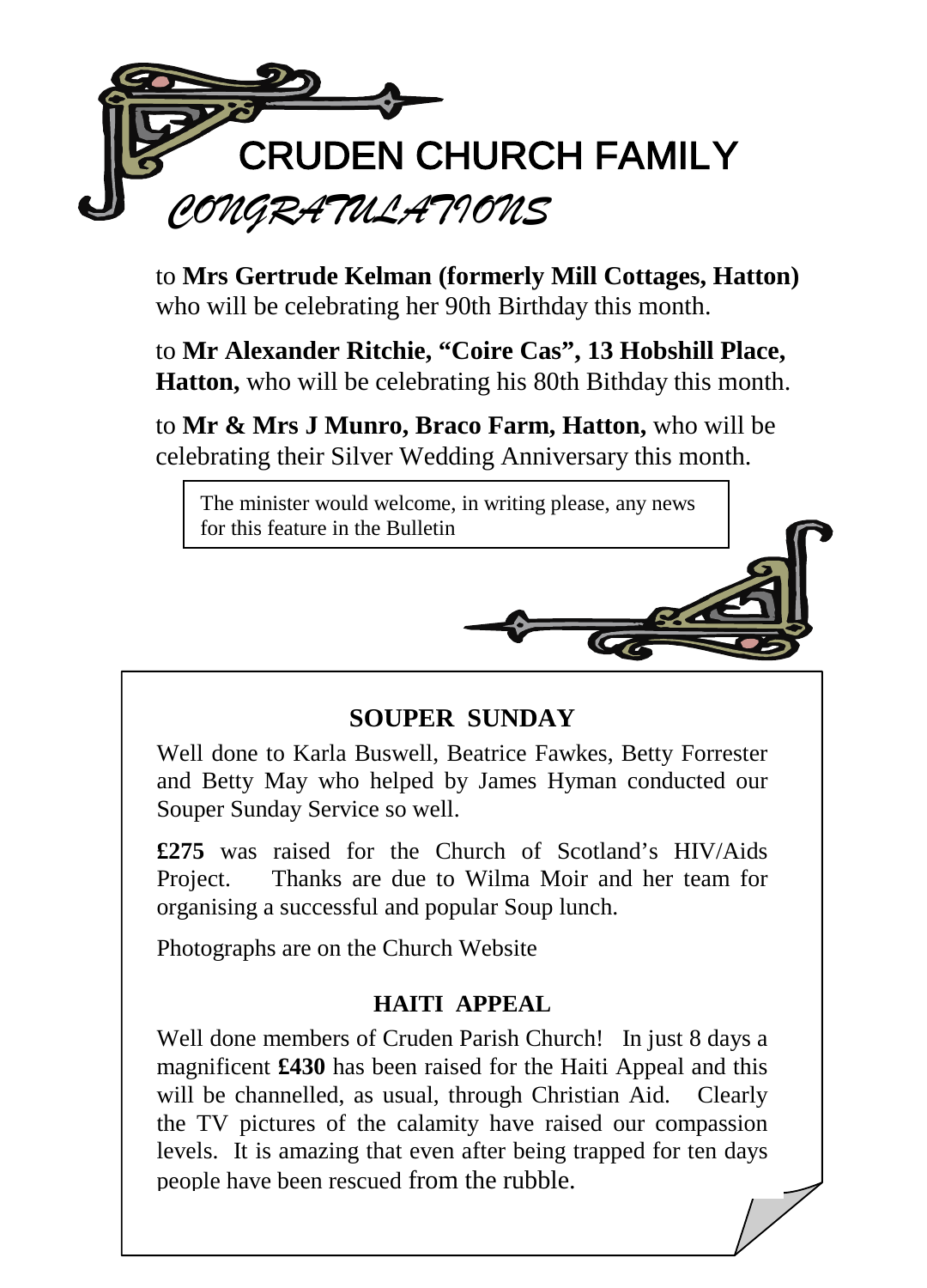

to **Mrs Gertrude Kelman (formerly Mill Cottages, Hatton)** who will be celebrating her 90th Birthday this month.

to **Mr Alexander Ritchie, "Coire Cas", 13 Hobshill Place, Hatton,** who will be celebrating his 80th Bithday this month.

to **Mr & Mrs J Munro, Braco Farm, Hatton,** who will be celebrating their Silver Wedding Anniversary this month.

The minister would welcome, in writing please, any news for this feature in the Bulletin



#### **SOUPER SUNDAY**

Well done to Karla Buswell, Beatrice Fawkes, Betty Forrester and Betty May who helped by James Hyman conducted our Souper Sunday Service so well.

**£275** was raised for the Church of Scotland's HIV/Aids Project. Thanks are due to Wilma Moir and her team for organising a successful and popular Soup lunch.

Photographs are on the Church Website

#### **HAITI APPEAL**

Well done members of Cruden Parish Church! In just 8 days a magnificent **£430** has been raised for the Haiti Appeal and this will be channelled, as usual, through Christian Aid. Clearly the TV pictures of the calamity have raised our compassion levels. It is amazing that even after being trapped for ten days people have been rescued from the rubble.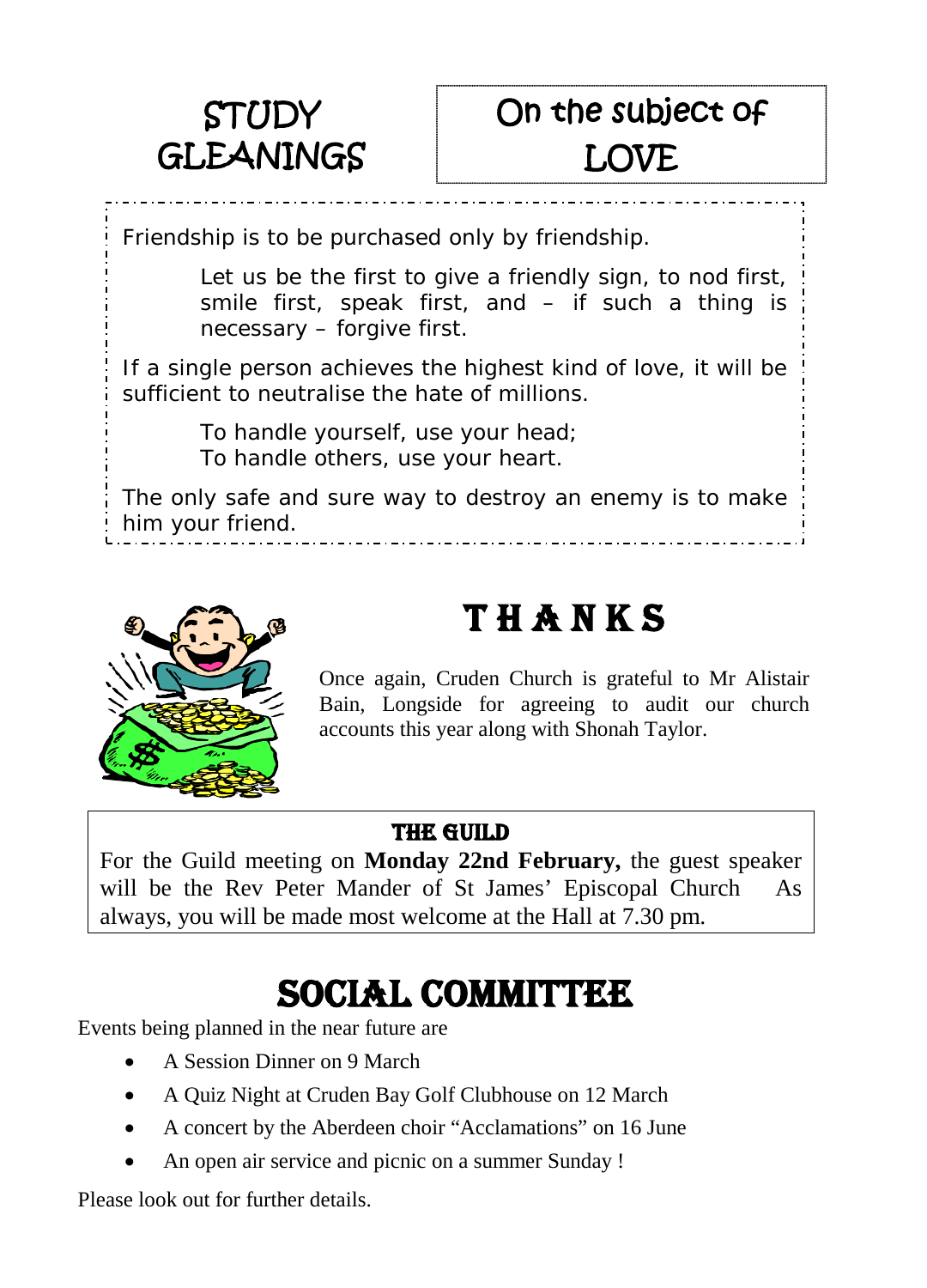

## On the subject of LOVE

Friendship is to be purchased only by friendship.

*Let us be the first to give a friendly sign, to nod first, smile first, speak first, and – if such a thing is necessary – forgive first.*

If a single person achieves the highest kind of love, it will be sufficient to neutralise the hate of millions.

> *To handle yourself, use your head; To handle others, use your heart.*

The only safe and sure way to destroy an enemy is to make him your friend.



## T H A N K S

Once again, Cruden Church is grateful to Mr Alistair Bain, Longside for agreeing to audit our church accounts this year along with Shonah Taylor.

#### THE GUILD

For the Guild meeting on **Monday 22nd February,** the guest speaker will be the Rev Peter Mander of St James' Episcopal Church As always, you will be made most welcome at the Hall at 7.30 pm.

## SOCIAL COMMITTEE

Events being planned in the near future are

- A Session Dinner on 9 March
- A Quiz Night at Cruden Bay Golf Clubhouse on 12 March
- A concert by the Aberdeen choir "Acclamations" on 16 June
- An open air service and picnic on a summer Sunday !

Please look out for further details.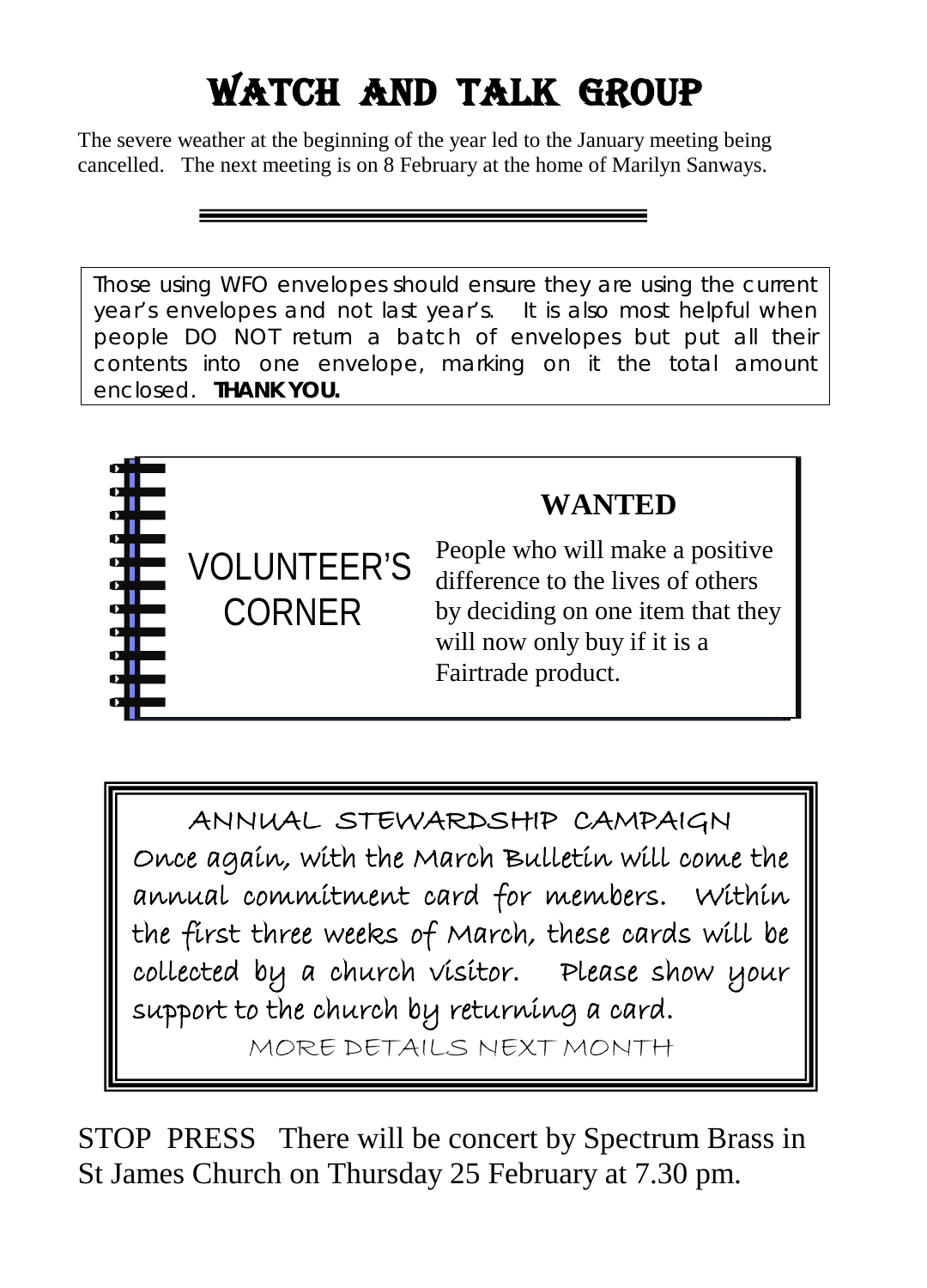# Watch And Talk Group

The severe weather at the beginning of the year led to the January meeting being cancelled. The next meeting is on 8 February at the home of Marilyn Sanways.

Those using WFO envelopes should ensure they are using the current year's envelopes and not last year's. It is also most helpful when people DO NOT return a batch of envelopes but put all their contents into one envelope, marking on it the total amount enclosed. **THANK YOU.**



## **WANTED**

People who will make a positive difference to the lives of others by deciding on one item that they will now only buy if it is a Fairtrade product.

ANNUAL STEWARDSHIP CAMPAIGN Once again, with the March Bulletin will come the annual commitment card for members. Within the first three weeks of March, these cards will be collected by a church visitor. Please show your support to the church by returning a card.

MORE DETAILS NEXT MONTH

STOP PRESS There will be concert by Spectrum Brass in St James Church on Thursday 25 February at 7.30 pm.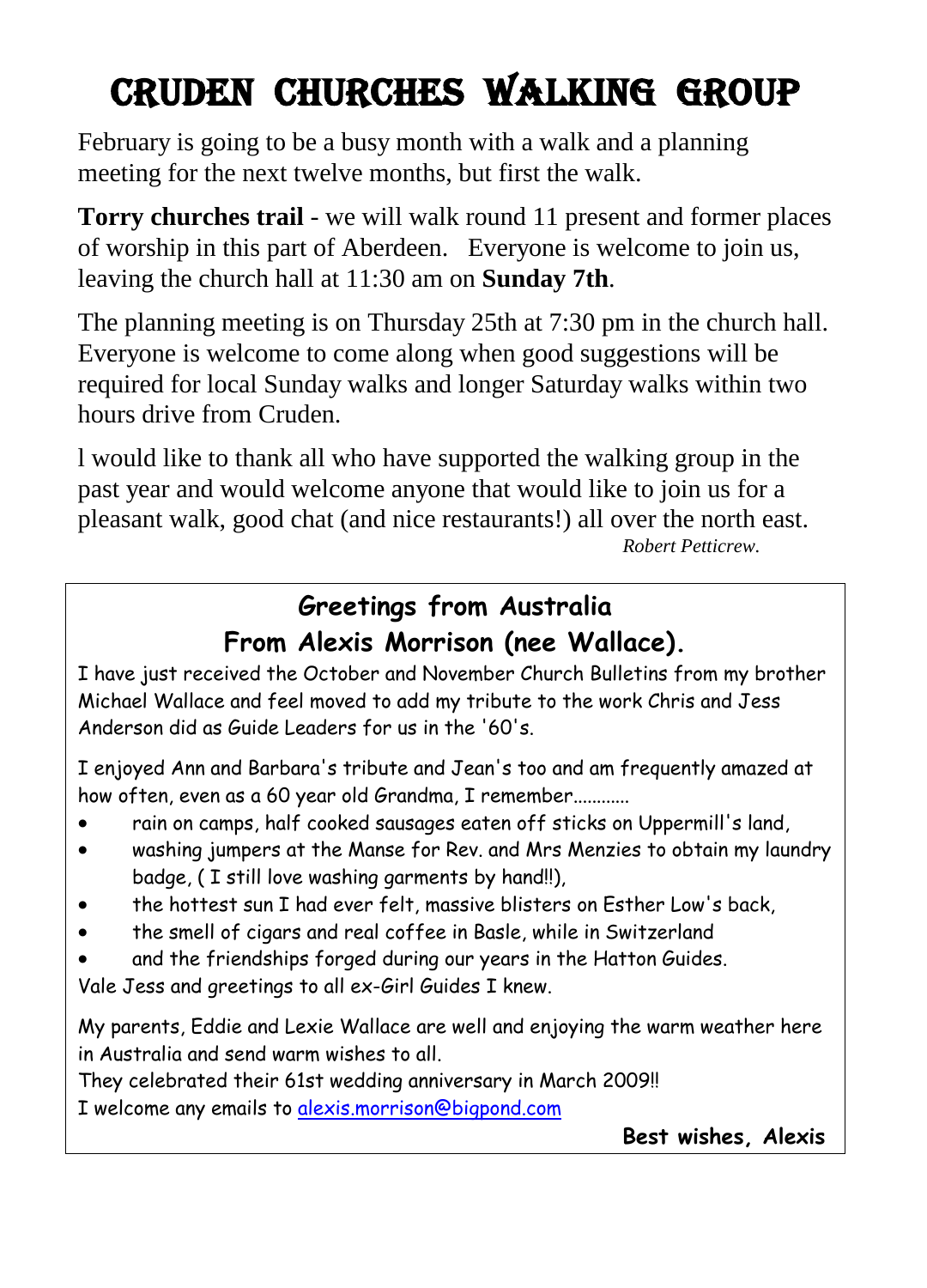## Cruden CHURCHes WALKing group

February is going to be a busy month with a walk and a planning meeting for the next twelve months, but first the walk.

**Torry churches trail** - we will walk round 11 present and former places of worship in this part of Aberdeen. Everyone is welcome to join us, leaving the church hall at 11:30 am on **Sunday 7th**.

The planning meeting is on Thursday 25th at 7:30 pm in the church hall. Everyone is welcome to come along when good suggestions will be required for local Sunday walks and longer Saturday walks within two hours drive from Cruden.

l would like to thank all who have supported the walking group in the past year and would welcome anyone that would like to join us for a pleasant walk, good chat (and nice restaurants!) all over the north east. *Robert Petticrew.*

### **Greetings from Australia From Alexis Morrison (nee Wallace).**

I have just received the October and November Church Bulletins from my brother Michael Wallace and feel moved to add my tribute to the work Chris and Jess Anderson did as Guide Leaders for us in the '60's.

I enjoyed Ann and Barbara's tribute and Jean's too and am frequently amazed at how often, even as a 60 year old Grandma, I remember............

- rain on camps, half cooked sausages eaten off sticks on Uppermill's land,
- washing jumpers at the Manse for Rev. and Mrs Menzies to obtain my laundry badge, ( I still love washing garments by hand!!),
- the hottest sun I had ever felt, massive blisters on Esther Low's back,
- the smell of cigars and real coffee in Basle, while in Switzerland
- and the friendships forged during our years in the Hatton Guides.

Vale Jess and greetings to all ex-Girl Guides I knew.

My parents, Eddie and Lexie Wallace are well and enjoying the warm weather here in Australia and send warm wishes to all.

They celebrated their 61st wedding anniversary in March 2009!! I welcome any emails t[o alexis.morrison@bigpond.com](mailto:alexis.morrison@bigpond.com)

**Best wishes, Alexis**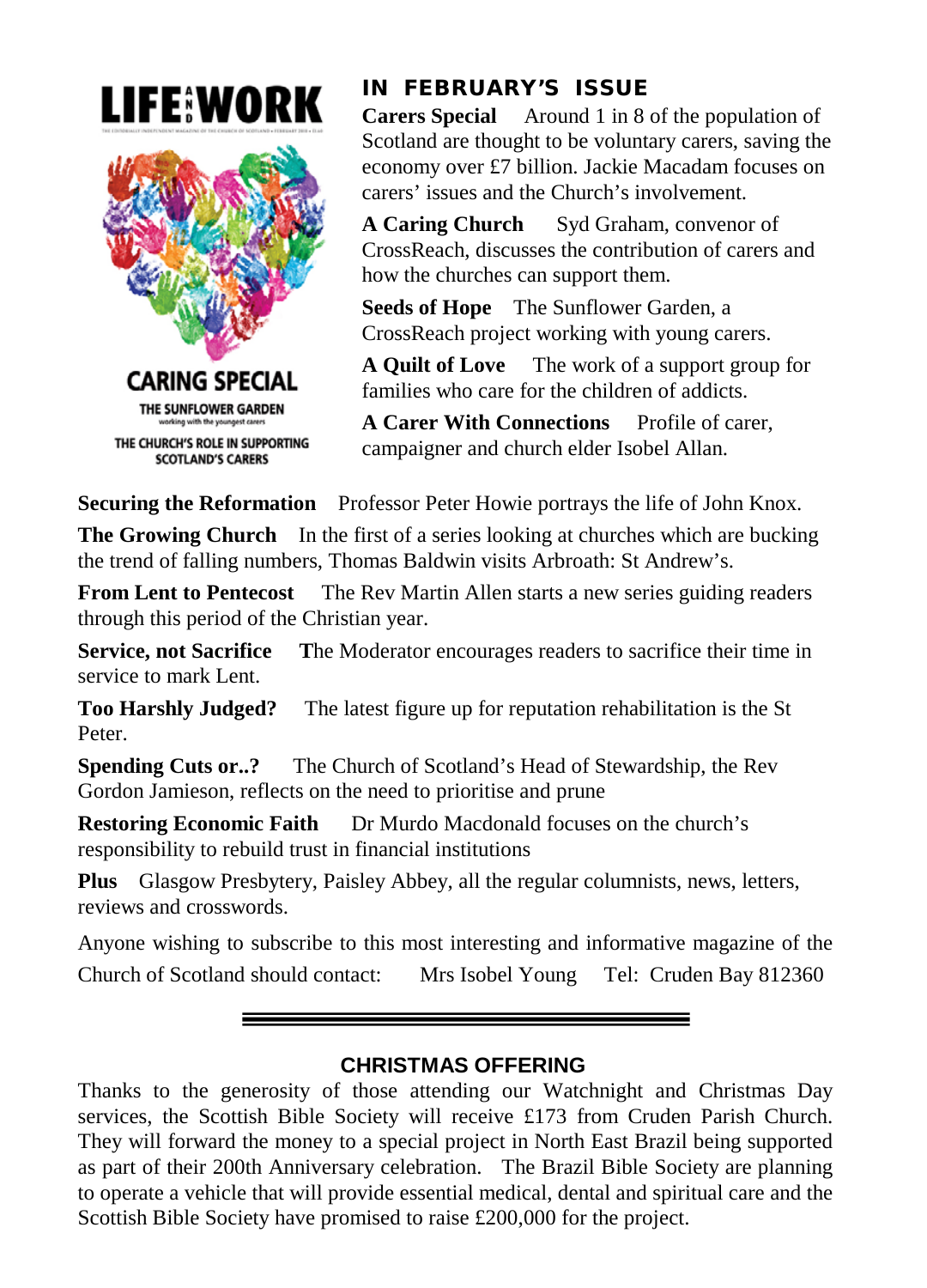



#### IN FEBRUARY'S ISSUE

**Carers Special** Around 1 in 8 of the population of Scotland are thought to be voluntary carers, saving the economy over £7 billion. Jackie Macadam focuses on carers' issues and the Church's involvement.

**A Caring Church** Syd Graham, convenor of CrossReach, discusses the contribution of carers and how the churches can support them.

**Seeds of Hope** The Sunflower Garden, a CrossReach project working with young carers.

**A Quilt of Love** The work of a support group for families who care for the children of addicts.

**A Carer With Connections** Profile of carer, campaigner and church elder Isobel Allan.

**Securing the Reformation** Professor Peter Howie portrays the life of John Knox.

**The Growing Church** In the first of a series looking at churches which are bucking the trend of falling numbers, Thomas Baldwin visits Arbroath: St Andrew's.

**From Lent to Pentecost** The Rev Martin Allen starts a new series guiding readers through this period of the Christian year.

**Service, not Sacrifice T**he Moderator encourages readers to sacrifice their time in service to mark Lent.

**Too Harshly Judged?** The latest figure up for reputation rehabilitation is the St Peter.

**Spending Cuts or..?** The Church of Scotland's Head of Stewardship, the Rev Gordon Jamieson, reflects on the need to prioritise and prune

**Restoring Economic Faith** Dr Murdo Macdonald focuses on the church's responsibility to rebuild trust in financial institutions

**Plus** Glasgow Presbytery, Paisley Abbey, all the regular columnists, news, letters, reviews and crosswords.

Anyone wishing to subscribe to this most interesting and informative magazine of the Church of Scotland should contact: Mrs Isobel Young Tel: Cruden Bay 812360

#### **CHRISTMAS OFFERING**

Thanks to the generosity of those attending our Watchnight and Christmas Day services, the Scottish Bible Society will receive £173 from Cruden Parish Church. They will forward the money to a special project in North East Brazil being supported as part of their 200th Anniversary celebration. The Brazil Bible Society are planning to operate a vehicle that will provide essential medical, dental and spiritual care and the Scottish Bible Society have promised to raise £200,000 for the project.